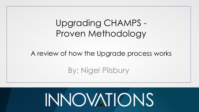#### Upgrading CHAMPS - Proven Methodology

#### A review of how the Upgrade process works

#### By: Nigel Pilsbury

# **INNOVATIONS**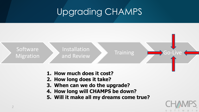

- **3. When can we do the upgrade?**
- **4. How long will CHAMPS be down?**
- **5. Will it make all my dreams come true?**

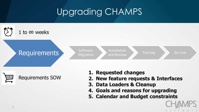

∰ Requirements SOW

- **1. Requested changes**
- **2. New feature requests & Interfaces**
- **3. Data Loaders & Cleanup**
- **4. Goals and reasons for upgrading**
- **5. Calendar and Budget constraints**

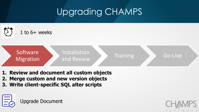<span id="page-3-0"></span>

- **1. Review and document all custom objects**
- **2. Merge custom and new version objects**
- **3. Write client-specific SQL alter scripts**



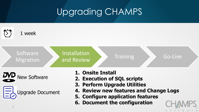<span id="page-4-0"></span>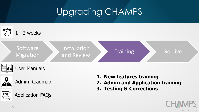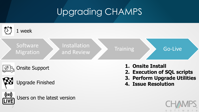

*7*

**LIVE** 

Users on the latest version

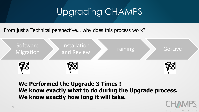From just a Technical perspective… why does this process work?



**We Performed the Upgrade 3 Times ! We know exactly what to do during the Upgrade process. We know exactly how long it will take.**

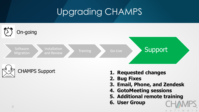



- **1. Requested changes**
- **2. Bug Fixes**
- **3. Email, Phone, and Zendesk**
- **4. GotoMeeting sessions**
- **5. Additional remote training**
- **6. User Group**

S  $\circ$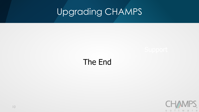#### The End

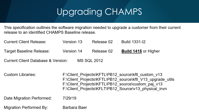<span id="page-10-0"></span>This specification outlines the software migration needed to upgrade a customer from their current release to an identified CHAMPS Baseline release.

| <b>Current Client Release:</b>                    | Version 13 | Release 02 | Build 1331-I2               |  |
|---------------------------------------------------|------------|------------|-----------------------------|--|
| Target Baseline Release:                          | Version 14 | Release 02 | <b>Build 1415 or Higher</b> |  |
| Current Client Database & Version:<br>MS SQL 2012 |            |            |                             |  |

Custom Libraries: F:\Client Projects\KFTL\PB12 source\kftl custom v13 F:\Client Projects\KFTL\PB12 source\kftl V13 upgrade utils F:\Client Projects\KFTL\PB12 source\custom paj v13 F:\Client Projects\KFLT\PB12 Source\v13 physical invn

Date Migration Performed: 7/29/19

**Migration Performed By:** Barbara Baer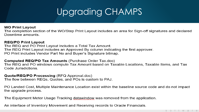#### **WO Print Layout**

The completion section of the WO/Step Print Layout includes an area for Sign-off signatures and declared Downtime amounts.

#### **REQ/PO Print Layout**

The REQ and PO Print Layout includes a Total Tax Amount. The REQ Print Layout includes an Approved By column indicating the first approver. PO Print includes Vendor Part No and Buyer's Signature bitmap.

#### **Computed REQ/PO Tax Amounts (Purchase Order Tax.doc)**

The REQ and PO windows compute Tax Amount based on Taxable Locations, Taxable Items, and Tax Code Jurisdictions.

#### **Quote/REQ/PO Processing (RFQ Approval.doc)**

The flow between REQs, Quotes, and POs is custom to PAJ.

PO Landed Cost, Multiple Maintenance Location exist within the baseline source code and do not impact the upgrade process.

The Equipment Meter Usage Tracking datawindow was removed from the application.

An interface of Inventory Movement and Receiving records to Oracle Financials.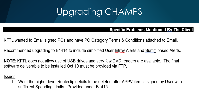#### **Specific Problems Mentioned By The Client**

KFTL wanted to Email signed POs and have PO Category Terms & Conditions attached to Email.

Recommended upgrading to B1414 to include simplified User Intray Alerts and Sum() based Alerts.

**NOTE:** KFTL does not allow use of USB drives and very few DVD readers are available. The final software deliverable to be installed Oct 10 must be provided via FTP.

#### **Issues**

1. Want the higher level Routeslip details to be deleted after APPV item is signed by User with sufficient Spending Limits. Provided under B1415.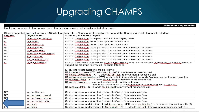Identify any changes to the Source Code. Identify source code that was discarded after review.

#### Objects upgraded from kftl custom v13 to kftl custom v14 – All objects in this pbl are to support the Champs to Oracle Financials Interface Orig Pbl **Object Name Summary of Custom Object**  $N/A$ D.cc.invnm.staging Custom datawindow to display records in the staging table Jc. Custom datawindow added the Layer and PO columns D. involifo JQ. D. invnlifo, api Custom datawindow added the Layer and PO columns  $N/A$ D. invnmydet. erface<br>erface<br>External  $N/A$ R.cc.fifovalue.  $N/A$ R.cc.invnmove.export  $N/A$ R.invnmydet. Custom datawindow to support the Champs to Oracle Financials Interface  $N/A$ Str. invnmove, det Custom datawindow to support the Champs to Oracle Financials Interface lc. U api inventory Custom user object modified the yf. lifofifi. processing event and added the yf. mylifofifi. processing event to support the Champs to Oracle Financials Interface. KFTL other customizations are as follows: Uf inventory,  $c$ ore – KFTL adds as bin list  $\prod$  to movement processing call Uf lifefifo adjustment  $-$  KFTL adds as bin list  $[]$  to movement processing call Uf movement processing - KFTL adds code to format datetime. Adds Bin to movement record insertion Uf multiple issue  $-$  KFTL adds as bin list  $\prod$  to movement processing call Uf recalc invnmove - current baseline loads debit/credit data. Will need modification to call uf. movement, processing with as bin, list Uf. receive, delta - KFTL adds as, bin, list l to movement processing call  $N/A$ W.cc.fifiyalue Custom window to support the Champs to Oracle Financials Interface  $N/A$ W.cc.invnm.export Custom window to support the Champs to Oracle Financials Interface W.cc.invnm.staging Custom window to support the Champs to Oracle Financials Interface  $N/$ W.cc.update\_info Custom window to support the Champs to Oracle Financials Interface **W**\_issue Custom window modification is to wf\_issue\_item - KFTL adds as bin\_list[] to movement processing calls (3) *[14](#page-3-0)*

W. locxfr Custom window modification is to Ue, update - KFTL adds Is, bin, list[] to movement processing calls (2).

**Promotion Requirements**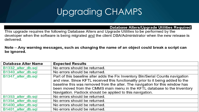Database Alters/Upgrade Utilities Required

This upgrade requires the following Database Alters and Upgrade Utilities to be performed by the developer when the software is being migrated and the client DBA/Administrator when the new release is delivered.

Note – Any warning messages, such as changing the name of an object could break a script can be ignored.

| <b>Database Alter Name</b> | <b>Expected Results</b>                                                         |
|----------------------------|---------------------------------------------------------------------------------|
| B1332 alter db.sql         | No errors should be returned.                                                   |
| B1340 alter db.sql         | No errors should be returned.                                                   |
| B1347 alter db.sql         | Part of this baseline alter adds the Fix Inventory Bin/Serial Counts navigation |
|                            | and view. Since KFTL received this functionality prior to it being added to the |
|                            | baseline this was removed from the alter. The navigation for this window has    |
|                            | been moved from the CMMS main menu in the KFTL database to the Inventory        |
|                            | Navigation. Padlock should be applied to this navigation.                       |
| B1353 alter db.sql         | No errors should be returned.                                                   |
| B1354 alter db.sql         | No errors should be returned.                                                   |
| B1400 alter db.sql         | No errors should be returned.                                                   |
| B1401 alter db.sql         | No errors should be returned.                                                   |